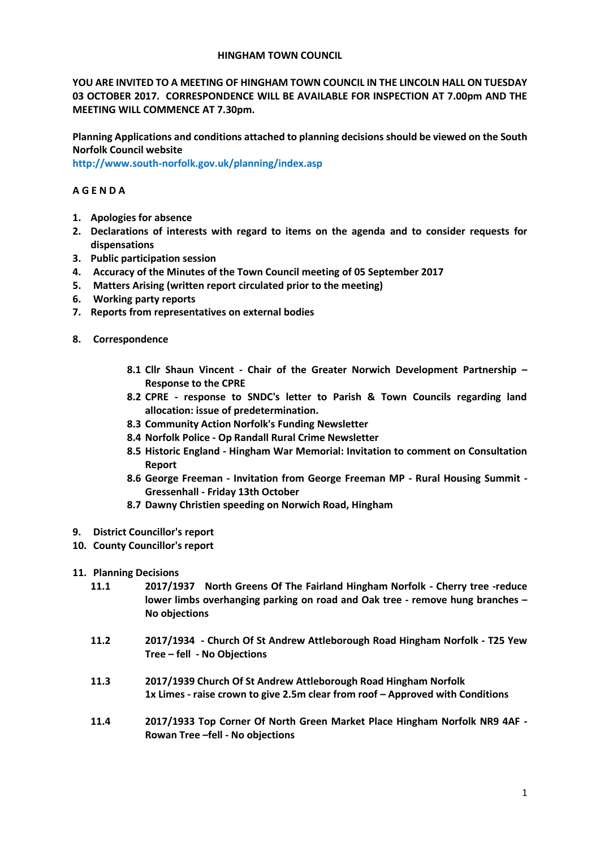#### **HINGHAM TOWN COUNCIL**

**YOU ARE INVITED TO A MEETING OF HINGHAM TOWN COUNCIL IN THE LINCOLN HALL ON TUESDAY 03 OCTOBER 2017. CORRESPONDENCE WILL BE AVAILABLE FOR INSPECTION AT 7.00pm AND THE MEETING WILL COMMENCE AT 7.30pm.** 

**Planning Applications and conditions attached to planning decisions should be viewed on the South Norfolk Council website** 

**<http://www.south-norfolk.gov.uk/planning/index.asp>**

## **A G E N D A**

- **1. Apologies for absence**
- **2. Declarations of interests with regard to items on the agenda and to consider requests for dispensations**
- **3. Public participation session**
- **4. Accuracy of the Minutes of the Town Council meeting of 05 September 2017**
- **5. Matters Arising (written report circulated prior to the meeting)**
- **6. Working party reports**
- **7. Reports from representatives on external bodies**
- **8. Correspondence** 
	- **8.1 Cllr Shaun Vincent - Chair of the Greater Norwich Development Partnership – Response to the CPRE**
	- **8.2 CPRE - response to SNDC's letter to Parish & Town Councils regarding land allocation: issue of predetermination.**
	- **8.3 Community Action Norfolk's Funding Newsletter**
	- **8.4 Norfolk Police - Op Randall Rural Crime Newsletter**
	- **8.5 Historic England - Hingham War Memorial: Invitation to comment on Consultation Report**
	- **8.6 George Freeman - Invitation from George Freeman MP - Rural Housing Summit - Gressenhall - Friday 13th October**
	- **8.7 Dawny Christien speeding on Norwich Road, Hingham**
- **9. District Councillor's report**
- **10. County Councillor's report**
- **11. Planning Decisions**
	- **11.1 2017/1937 North Greens Of The Fairland Hingham Norfolk - Cherry tree -reduce lower limbs overhanging parking on road and Oak tree - remove hung branches – No objections**
	- **11.2 2017/1934 - Church Of St Andrew Attleborough Road Hingham Norfolk - T25 Yew Tree – fell - No Objections**
	- **11.3 2017/1939 Church Of St Andrew Attleborough Road Hingham Norfolk 1x Limes - raise crown to give 2.5m clear from roof – Approved with Conditions**
	- **11.4 2017/1933 Top Corner Of North Green Market Place Hingham Norfolk NR9 4AF Rowan Tree –fell - No objections**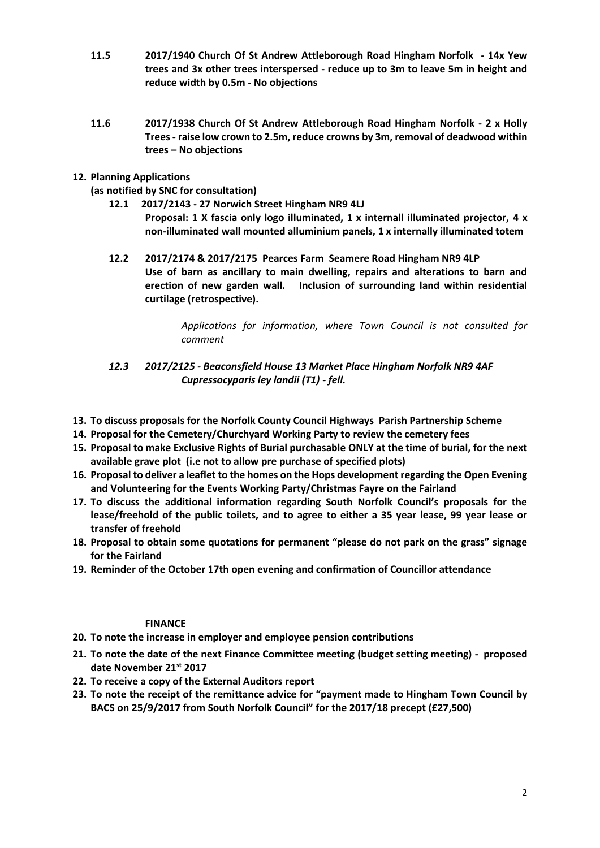- **11.5 2017/1940 Church Of St Andrew Attleborough Road Hingham Norfolk - 14x Yew trees and 3x other trees interspersed - reduce up to 3m to leave 5m in height and reduce width by 0.5m - No objections**
- **11.6 2017/1938 Church Of St Andrew Attleborough Road Hingham Norfolk - 2 x Holly Trees - raise low crown to 2.5m, reduce crowns by 3m, removal of deadwood within trees – No objections**
- **12. Planning Applications** 
	- **(as notified by SNC for consultation)**
		- **12.1 2017/2143 - 27 Norwich Street Hingham NR9 4LJ Proposal: 1 X fascia only logo illuminated, 1 x internall illuminated projector, 4 x non-illuminated wall mounted alluminium panels, 1 x internally illuminated totem**
		- **12.2 2017/2174 & 2017/2175 Pearces Farm Seamere Road Hingham NR9 4LP Use of barn as ancillary to main dwelling, repairs and alterations to barn and erection of new garden wall. Inclusion of surrounding land within residential curtilage (retrospective).**

*Applications for information, where Town Council is not consulted for comment*

- *12.3 2017/2125 - Beaconsfield House 13 Market Place Hingham Norfolk NR9 4AF Cupressocyparis ley landii (T1) - fell.*
- **13. To discuss proposals for the Norfolk County Council Highways Parish Partnership Scheme**
- **14. Proposal for the Cemetery/Churchyard Working Party to review the cemetery fees**
- **15. Proposal to make Exclusive Rights of Burial purchasable ONLY at the time of burial, for the next available grave plot (i.e not to allow pre purchase of specified plots)**
- **16. Proposal to deliver a leaflet to the homes on the Hops development regarding the Open Evening and Volunteering for the Events Working Party/Christmas Fayre on the Fairland**
- **17. To discuss the additional information regarding South Norfolk Council's proposals for the lease/freehold of the public toilets, and to agree to either a 35 year lease, 99 year lease or transfer of freehold**
- **18. Proposal to obtain some quotations for permanent "please do not park on the grass" signage for the Fairland**
- **19. Reminder of the October 17th open evening and confirmation of Councillor attendance**

### **FINANCE**

- **20. To note the increase in employer and employee pension contributions**
- **21. To note the date of the next Finance Committee meeting (budget setting meeting) - proposed date November 21st 2017**
- **22. To receive a copy of the External Auditors report**
- **23. To note the receipt of the remittance advice for "payment made to Hingham Town Council by BACS on 25/9/2017 from South Norfolk Council" for the 2017/18 precept (£27,500)**